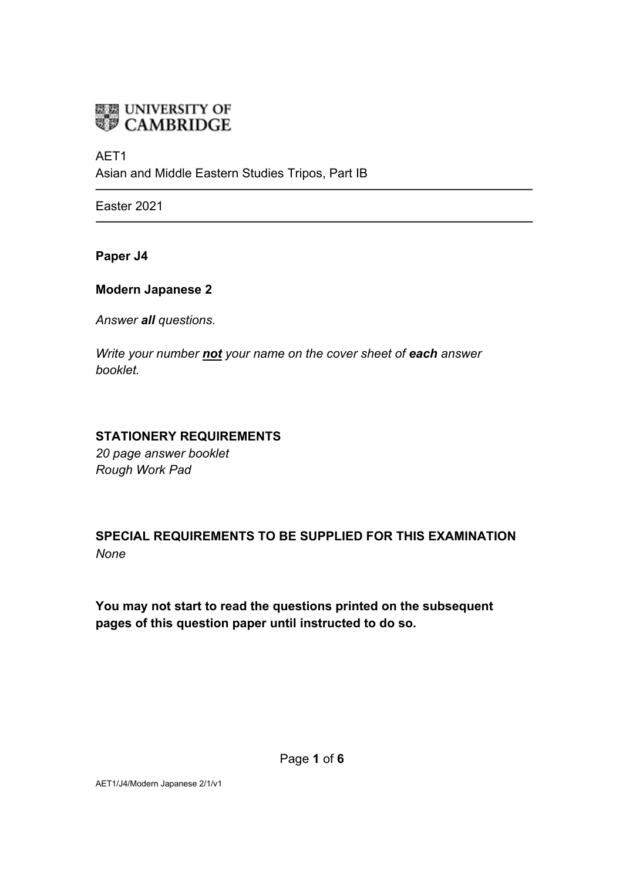

AET1 Asian and Middle Eastern Studies Tripos, Part IB

Easter 2021

**Paper J4**

## **Modern Japanese 2**

*Answer all questions.*

*Write your number not your name on the cover sheet of each answer booklet.*

# **STATIONERY REQUIREMENTS**

*20 page answer booklet Rough Work Pad*

**SPECIAL REQUIREMENTS TO BE SUPPLIED FOR THIS EXAMINATION** *None*

**You may not start to read the questions printed on the subsequent pages of this question paper until instructed to do so.**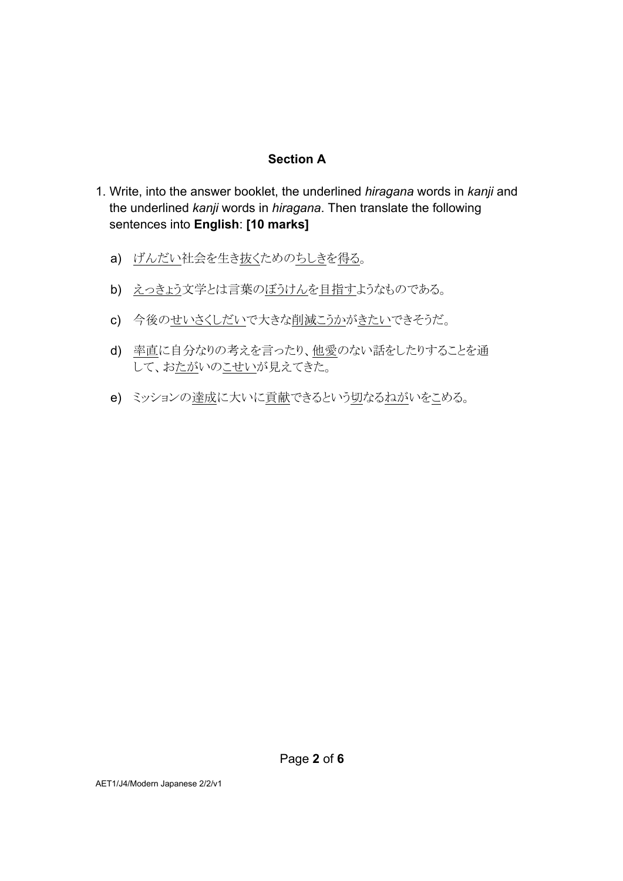## **Section A**

- 1. Write, into the answer booklet, the underlined *hiragana* words in *kanji* and the underlined *kanji* words in *hiragana*. Then translate the following sentences into **English**: **[10 marks]** 
	- a) げんだい社会を生き抜くためのちしきを得る。
	- b) えっきょう文学とは言葉のぼうけんを目指すようなものである。
	- c) 今後のせいさくしだいで大きな削減こうかがきたいできそうだ。
	- d) 率直に自分なりの考えを言ったり、他愛のない話をしたりすることを通 して、おたがいのこせいが見えてきた。
	- e) ミッションの達成に大いに貢献できるという切なるねがいをこめる。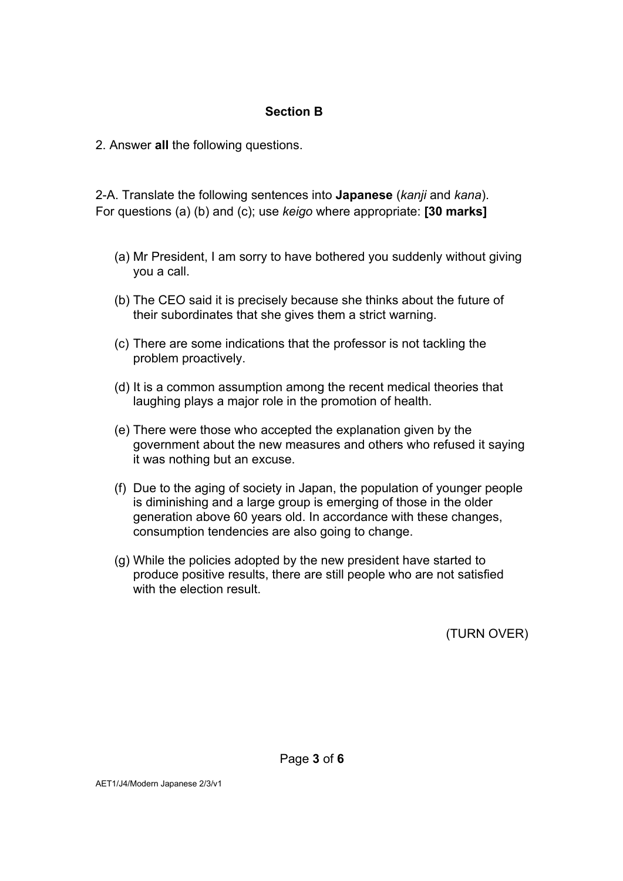#### **Section B**

2. Answer **all** the following questions.

2-A. Translate the following sentences into **Japanese** (*kanji* and *kana*). For questions (a) (b) and (c); use *keigo* where appropriate: **[30 marks]**

- (a) Mr President, I am sorry to have bothered you suddenly without giving you a call.
- (b) The CEO said it is precisely because she thinks about the future of their subordinates that she gives them a strict warning.
- (c) There are some indications that the professor is not tackling the problem proactively.
- (d) It is a common assumption among the recent medical theories that laughing plays a major role in the promotion of health.
- (e) There were those who accepted the explanation given by the government about the new measures and others who refused it saying it was nothing but an excuse.
- (f) Due to the aging of society in Japan, the population of younger people is diminishing and a large group is emerging of those in the older generation above 60 years old. In accordance with these changes, consumption tendencies are also going to change.
- (g) While the policies adopted by the new president have started to produce positive results, there are still people who are not satisfied with the election result.

(TURN OVER)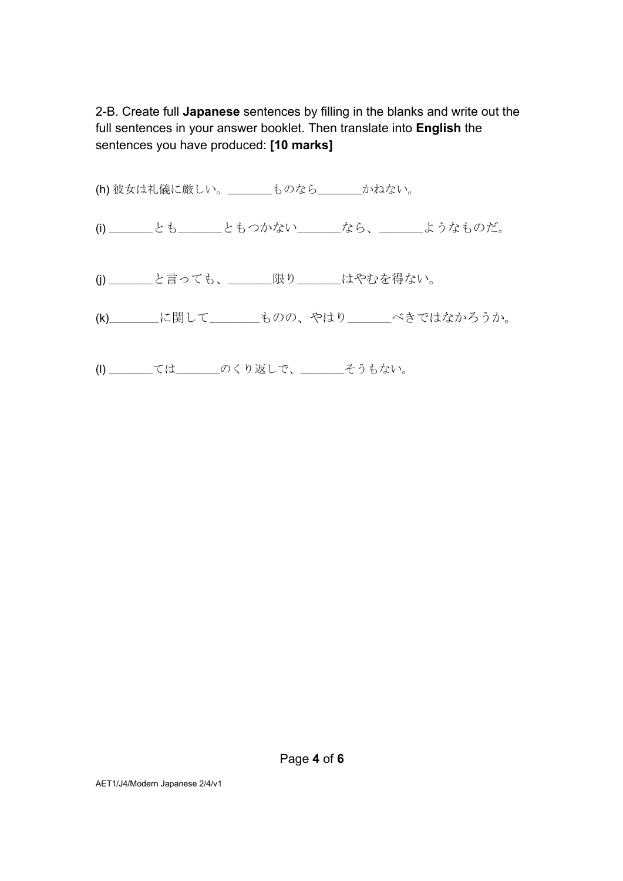2-B. Create full **Japanese** sentences by filling in the blanks and write out the full sentences in your answer booklet. Then translate into **English** the sentences you have produced: **[10 marks]**

(h) 彼女は礼儀に厳しい。\_\_\_\_\_\_\_ものなら\_\_\_\_\_\_\_かねない。 (i) \_\_\_\_\_\_\_とも\_\_\_\_\_\_\_ともつかない\_\_\_\_\_\_\_なら、\_\_\_\_\_\_\_ようなものだ。 (j) \_\_\_\_\_\_\_と言っても、\_\_\_\_\_\_\_限り\_\_\_\_\_\_\_はやむを得ない。 (k) に関して ものの、やはり べきではなかろうか。

(l) \_\_\_\_\_\_\_ては\_\_\_\_\_\_\_のくり返しで、\_\_\_\_\_\_\_そうもない。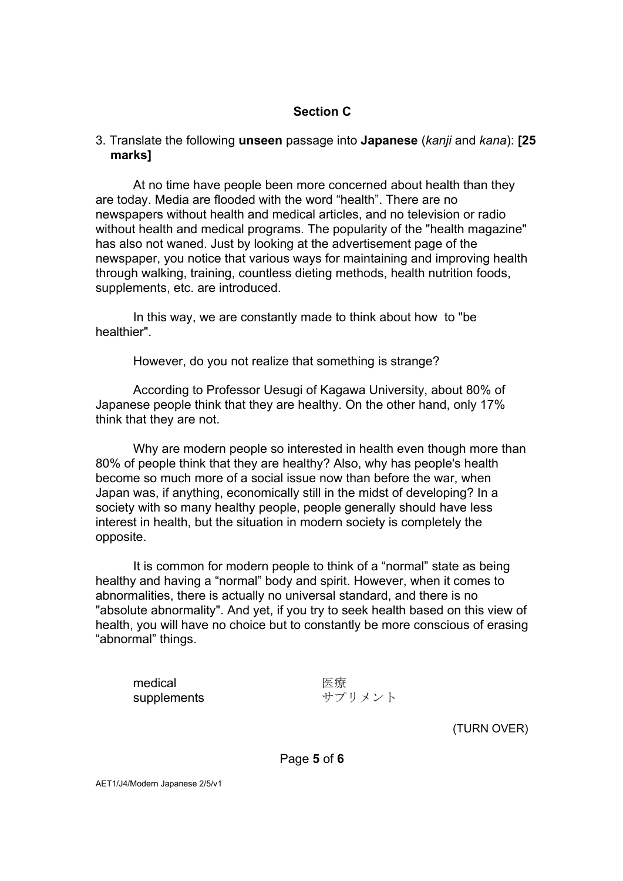# **Section C**

#### 3. Translate the following **unseen** passage into **Japanese** (*kanji* and *kana*): **[25 marks]**

At no time have people been more concerned about health than they are today. Media are flooded with the word "health". There are no newspapers without health and medical articles, and no television or radio without health and medical programs. The popularity of the "health magazine" has also not waned. Just by looking at the advertisement page of the newspaper, you notice that various ways for maintaining and improving health through walking, training, countless dieting methods, health nutrition foods, supplements, etc. are introduced.

In this way, we are constantly made to think about how to "be healthier".

However, do you not realize that something is strange?

According to Professor Uesugi of Kagawa University, about 80% of Japanese people think that they are healthy. On the other hand, only 17% think that they are not.

Why are modern people so interested in health even though more than 80% of people think that they are healthy? Also, why has people's health become so much more of a social issue now than before the war, when Japan was, if anything, economically still in the midst of developing? In a society with so many healthy people, people generally should have less interest in health, but the situation in modern society is completely the opposite.

It is common for modern people to think of a "normal" state as being healthy and having a "normal" body and spirit. However, when it comes to abnormalities, there is actually no universal standard, and there is no "absolute abnormality". And yet, if you try to seek health based on this view of health, you will have no choice but to constantly be more conscious of erasing "abnormal" things.

**medical**<br>supplements サプリメント supplements

(TURN OVER)

Page **5** of **6**